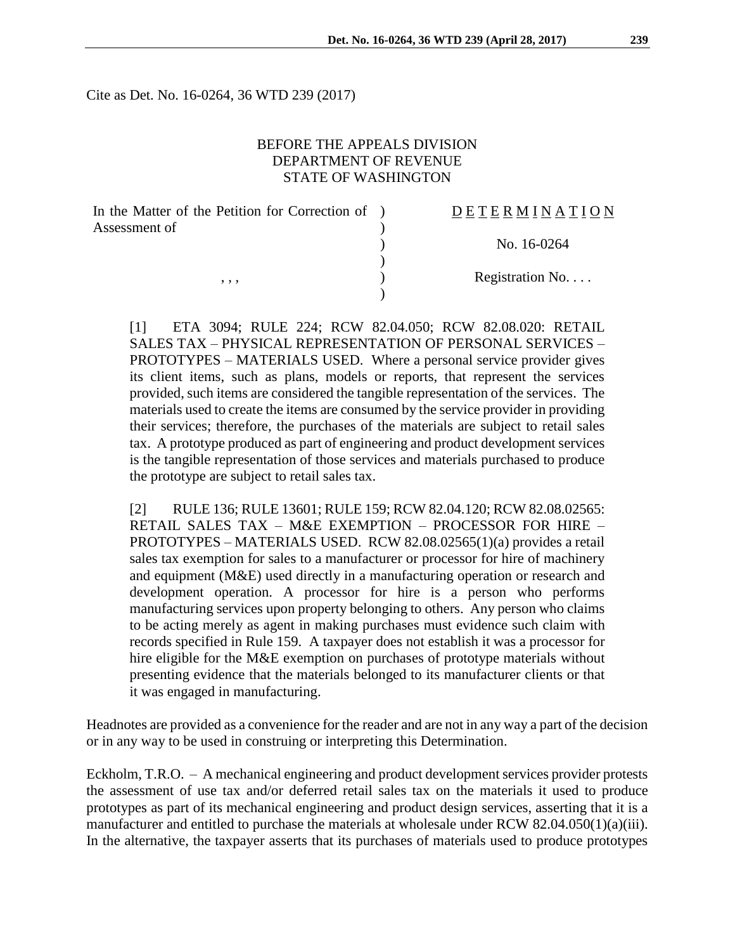Cite as Det. No. 16-0264, 36 WTD 239 (2017)

## BEFORE THE APPEALS DIVISION DEPARTMENT OF REVENUE STATE OF WASHINGTON

| In the Matter of the Petition for Correction of ) | DETERMINATION            |
|---------------------------------------------------|--------------------------|
| Assessment of                                     |                          |
|                                                   | No. 16-0264              |
|                                                   |                          |
| , , ,                                             | Registration No. $\dots$ |
|                                                   |                          |

[1] ETA 3094; RULE 224; RCW 82.04.050; RCW 82.08.020: RETAIL SALES TAX – PHYSICAL REPRESENTATION OF PERSONAL SERVICES – PROTOTYPES – MATERIALS USED. Where a personal service provider gives its client items, such as plans, models or reports, that represent the services provided, such items are considered the tangible representation of the services. The materials used to create the items are consumed by the service provider in providing their services; therefore, the purchases of the materials are subject to retail sales tax. A prototype produced as part of engineering and product development services is the tangible representation of those services and materials purchased to produce the prototype are subject to retail sales tax.

[2] RULE 136; RULE 13601; RULE 159; RCW 82.04.120; RCW 82.08.02565: RETAIL SALES TAX – M&E EXEMPTION – PROCESSOR FOR HIRE – PROTOTYPES – MATERIALS USED. RCW 82.08.02565(1)(a) provides a retail sales tax exemption for sales to a manufacturer or processor for hire of machinery and equipment (M&E) used directly in a manufacturing operation or research and development operation. A processor for hire is a person who performs manufacturing services upon property belonging to others. Any person who claims to be acting merely as agent in making purchases must evidence such claim with records specified in Rule 159. A taxpayer does not establish it was a processor for hire eligible for the M&E exemption on purchases of prototype materials without presenting evidence that the materials belonged to its manufacturer clients or that it was engaged in manufacturing.

Headnotes are provided as a convenience for the reader and are not in any way a part of the decision or in any way to be used in construing or interpreting this Determination.

Eckholm,  $T.R.O. - A$  mechanical engineering and product development services provider protests the assessment of use tax and/or deferred retail sales tax on the materials it used to produce prototypes as part of its mechanical engineering and product design services, asserting that it is a manufacturer and entitled to purchase the materials at wholesale under RCW 82.04.050(1)(a)(iii). In the alternative, the taxpayer asserts that its purchases of materials used to produce prototypes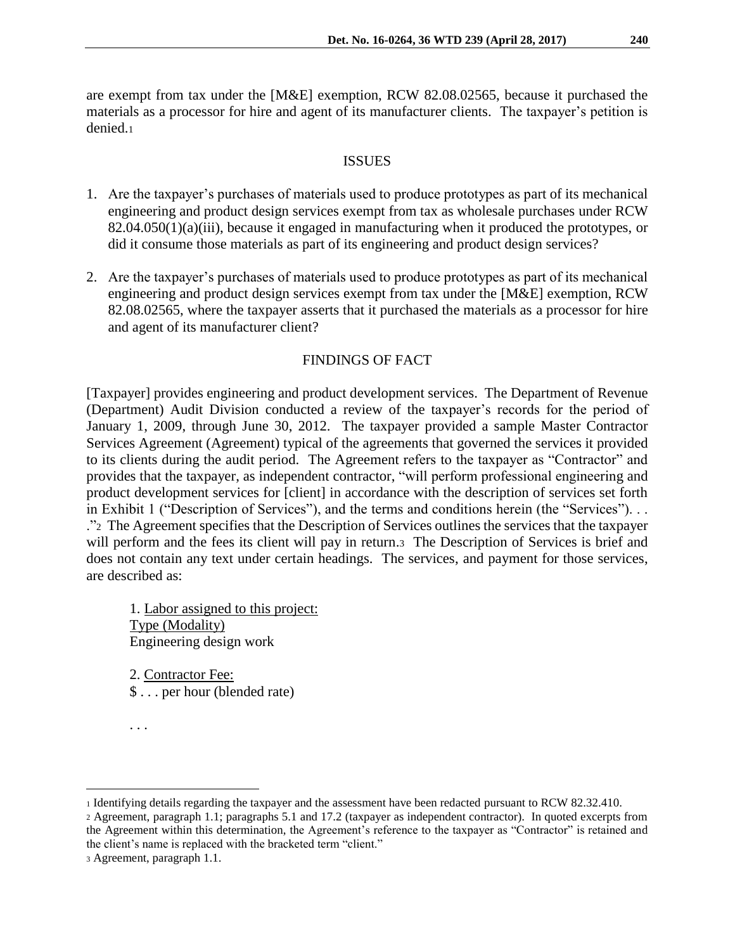are exempt from tax under the [M&E] exemption, RCW 82.08.02565, because it purchased the materials as a processor for hire and agent of its manufacturer clients. The taxpayer's petition is denied.<sup>1</sup>

#### **ISSUES**

- 1. Are the taxpayer's purchases of materials used to produce prototypes as part of its mechanical engineering and product design services exempt from tax as wholesale purchases under RCW 82.04.050(1)(a)(iii), because it engaged in manufacturing when it produced the prototypes, or did it consume those materials as part of its engineering and product design services?
- 2. Are the taxpayer's purchases of materials used to produce prototypes as part of its mechanical engineering and product design services exempt from tax under the [M&E] exemption, RCW 82.08.02565, where the taxpayer asserts that it purchased the materials as a processor for hire and agent of its manufacturer client?

#### FINDINGS OF FACT

[Taxpayer] provides engineering and product development services. The Department of Revenue (Department) Audit Division conducted a review of the taxpayer's records for the period of January 1, 2009, through June 30, 2012. The taxpayer provided a sample Master Contractor Services Agreement (Agreement) typical of the agreements that governed the services it provided to its clients during the audit period. The Agreement refers to the taxpayer as "Contractor" and provides that the taxpayer, as independent contractor, "will perform professional engineering and product development services for [client] in accordance with the description of services set forth in Exhibit 1 ("Description of Services"), and the terms and conditions herein (the "Services"). . . ."2 The Agreement specifies that the Description of Services outlines the services that the taxpayer will perform and the fees its client will pay in return.3 The Description of Services is brief and does not contain any text under certain headings. The services, and payment for those services, are described as:

1. Labor assigned to this project: Type (Modality) Engineering design work

2. Contractor Fee: \$ . . . per hour (blended rate)

<sup>. . .</sup>

<sup>1</sup> Identifying details regarding the taxpayer and the assessment have been redacted pursuant to RCW 82.32.410.

<sup>2</sup> Agreement, paragraph 1.1; paragraphs 5.1 and 17.2 (taxpayer as independent contractor). In quoted excerpts from the Agreement within this determination, the Agreement's reference to the taxpayer as "Contractor" is retained and the client's name is replaced with the bracketed term "client."

<sup>3</sup> Agreement, paragraph 1.1.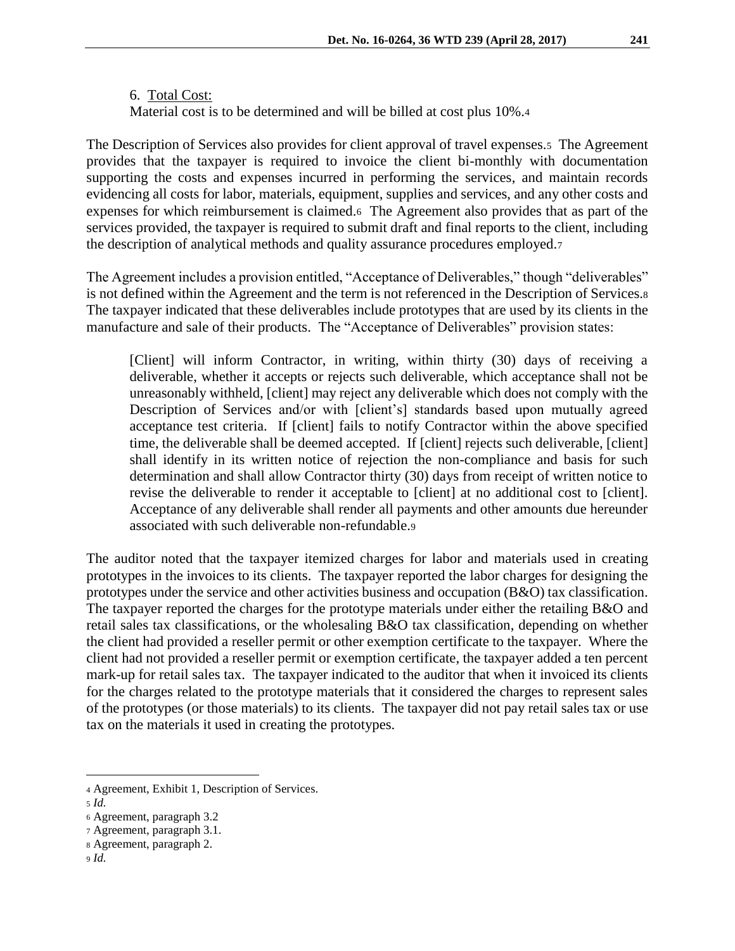6. Total Cost: Material cost is to be determined and will be billed at cost plus 10%.<sup>4</sup>

The Description of Services also provides for client approval of travel expenses.5 The Agreement provides that the taxpayer is required to invoice the client bi-monthly with documentation supporting the costs and expenses incurred in performing the services, and maintain records evidencing all costs for labor, materials, equipment, supplies and services, and any other costs and expenses for which reimbursement is claimed.<sup>6</sup>The Agreement also provides that as part of the services provided, the taxpayer is required to submit draft and final reports to the client, including the description of analytical methods and quality assurance procedures employed.<sup>7</sup>

The Agreement includes a provision entitled, "Acceptance of Deliverables," though "deliverables" is not defined within the Agreement and the term is not referenced in the Description of Services.<sup>8</sup> The taxpayer indicated that these deliverables include prototypes that are used by its clients in the manufacture and sale of their products. The "Acceptance of Deliverables" provision states:

[Client] will inform Contractor, in writing, within thirty (30) days of receiving a deliverable, whether it accepts or rejects such deliverable, which acceptance shall not be unreasonably withheld, [client] may reject any deliverable which does not comply with the Description of Services and/or with [client's] standards based upon mutually agreed acceptance test criteria. If [client] fails to notify Contractor within the above specified time, the deliverable shall be deemed accepted. If [client] rejects such deliverable, [client] shall identify in its written notice of rejection the non-compliance and basis for such determination and shall allow Contractor thirty (30) days from receipt of written notice to revise the deliverable to render it acceptable to [client] at no additional cost to [client]. Acceptance of any deliverable shall render all payments and other amounts due hereunder associated with such deliverable non-refundable.<sup>9</sup>

The auditor noted that the taxpayer itemized charges for labor and materials used in creating prototypes in the invoices to its clients. The taxpayer reported the labor charges for designing the prototypes under the service and other activities business and occupation (B&O) tax classification. The taxpayer reported the charges for the prototype materials under either the retailing B&O and retail sales tax classifications, or the wholesaling B&O tax classification, depending on whether the client had provided a reseller permit or other exemption certificate to the taxpayer. Where the client had not provided a reseller permit or exemption certificate, the taxpayer added a ten percent mark-up for retail sales tax. The taxpayer indicated to the auditor that when it invoiced its clients for the charges related to the prototype materials that it considered the charges to represent sales of the prototypes (or those materials) to its clients. The taxpayer did not pay retail sales tax or use tax on the materials it used in creating the prototypes.

<sup>4</sup> Agreement, Exhibit 1, Description of Services.

<sup>5</sup> *Id.*

<sup>6</sup> Agreement, paragraph 3.2

<sup>7</sup> Agreement*,* paragraph 3.1.

<sup>8</sup> Agreement, paragraph 2.

<sup>9</sup> *Id.*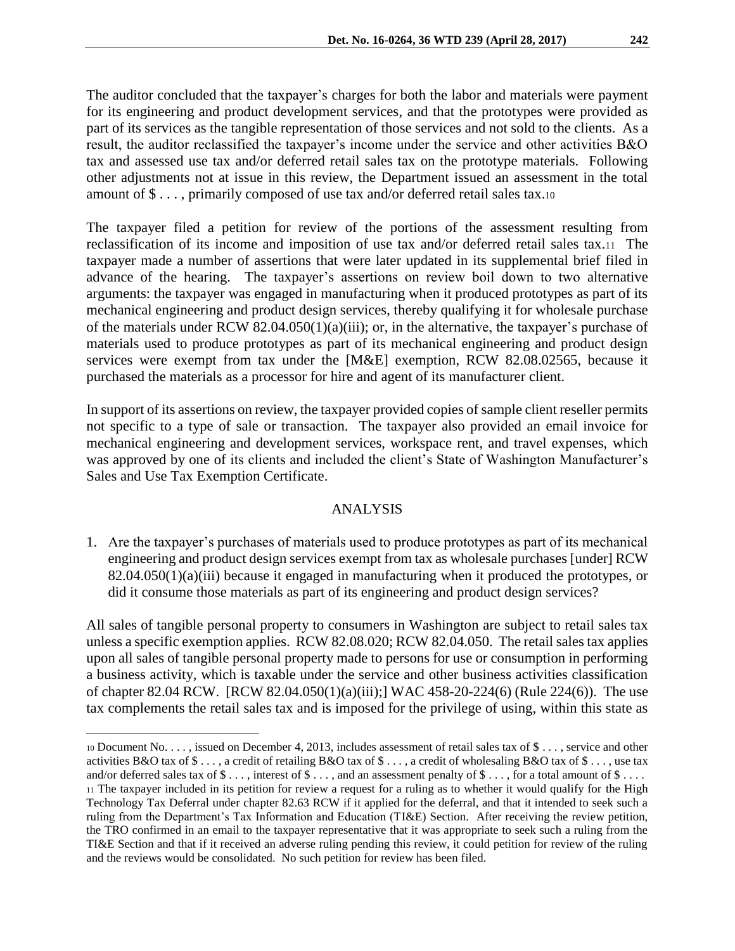The auditor concluded that the taxpayer's charges for both the labor and materials were payment for its engineering and product development services, and that the prototypes were provided as part of its services as the tangible representation of those services and not sold to the clients. As a result, the auditor reclassified the taxpayer's income under the service and other activities B&O tax and assessed use tax and/or deferred retail sales tax on the prototype materials. Following other adjustments not at issue in this review, the Department issued an assessment in the total amount of \$ . . . , primarily composed of use tax and/or deferred retail sales tax.<sup>10</sup>

The taxpayer filed a petition for review of the portions of the assessment resulting from reclassification of its income and imposition of use tax and/or deferred retail sales tax.<sup>11</sup>The taxpayer made a number of assertions that were later updated in its supplemental brief filed in advance of the hearing. The taxpayer's assertions on review boil down to two alternative arguments: the taxpayer was engaged in manufacturing when it produced prototypes as part of its mechanical engineering and product design services, thereby qualifying it for wholesale purchase of the materials under RCW 82.04.050(1)(a)(iii); or, in the alternative, the taxpayer's purchase of materials used to produce prototypes as part of its mechanical engineering and product design services were exempt from tax under the [M&E] exemption, RCW 82.08.02565, because it purchased the materials as a processor for hire and agent of its manufacturer client.

In support of its assertions on review, the taxpayer provided copies of sample client reseller permits not specific to a type of sale or transaction. The taxpayer also provided an email invoice for mechanical engineering and development services, workspace rent, and travel expenses, which was approved by one of its clients and included the client's State of Washington Manufacturer's Sales and Use Tax Exemption Certificate.

### ANALYSIS

1. Are the taxpayer's purchases of materials used to produce prototypes as part of its mechanical engineering and product design services exempt from tax as wholesale purchases [under] RCW 82.04.050(1)(a)(iii) because it engaged in manufacturing when it produced the prototypes, or did it consume those materials as part of its engineering and product design services?

All sales of tangible personal property to consumers in Washington are subject to retail sales tax unless a specific exemption applies. RCW 82.08.020; RCW 82.04.050. The retail sales tax applies upon all sales of tangible personal property made to persons for use or consumption in performing a business activity, which is taxable under the service and other business activities classification of chapter 82.04 RCW. [RCW 82.04.050(1)(a)(iii);] WAC 458-20-224(6) (Rule 224(6)). The use tax complements the retail sales tax and is imposed for the privilege of using, within this state as

<sup>10</sup> Document No. . . . , issued on December 4, 2013, includes assessment of retail sales tax of \$ . . . , service and other activities B&O tax of  $\$\ldots$ , a credit of retailing B&O tax of  $\$\ldots$ , a credit of wholesaling B&O tax of  $\$\ldots$ , use tax and/or deferred sales tax of  $\$\ldots$ , interest of  $\$\ldots$ , and an assessment penalty of  $\$\ldots$ , for a total amount of  $\$\ldots$ . <sup>11</sup> The taxpayer included in its petition for review a request for a ruling as to whether it would qualify for the High Technology Tax Deferral under chapter 82.63 RCW if it applied for the deferral, and that it intended to seek such a ruling from the Department's Tax Information and Education (TI&E) Section. After receiving the review petition, the TRO confirmed in an email to the taxpayer representative that it was appropriate to seek such a ruling from the TI&E Section and that if it received an adverse ruling pending this review, it could petition for review of the ruling and the reviews would be consolidated. No such petition for review has been filed.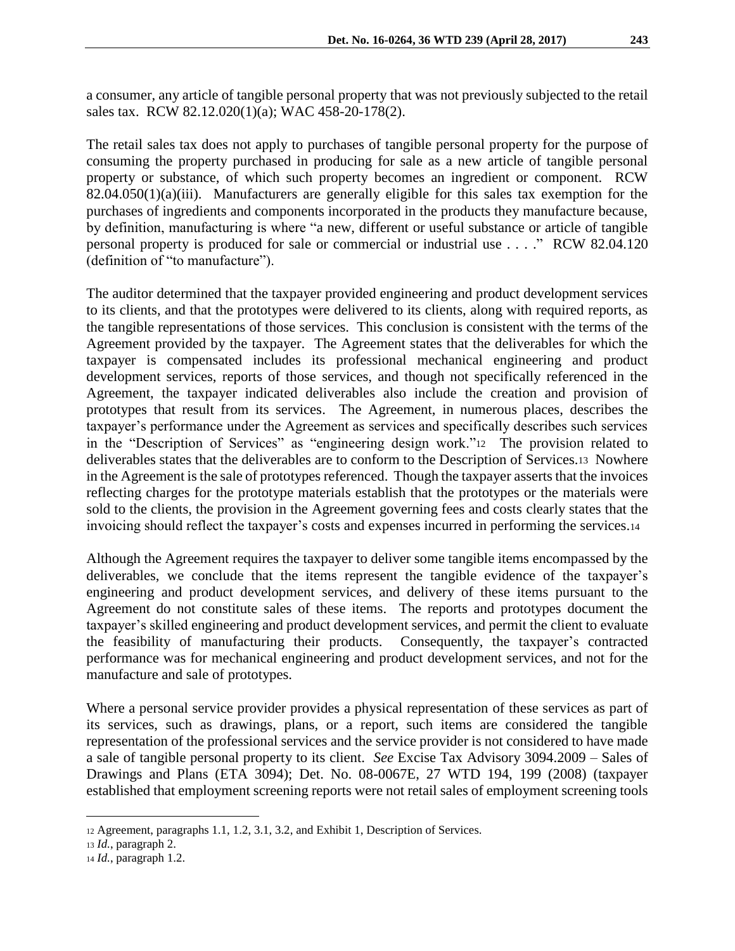a consumer, any article of tangible personal property that was not previously subjected to the retail sales tax. RCW 82.12.020(1)(a); WAC 458-20-178(2).

The retail sales tax does not apply to purchases of tangible personal property for the purpose of consuming the property purchased in producing for sale as a new article of tangible personal property or substance, of which such property becomes an ingredient or component. RCW 82.04.050(1)(a)(iii). Manufacturers are generally eligible for this sales tax exemption for the purchases of ingredients and components incorporated in the products they manufacture because, by definition, manufacturing is where "a new, different or useful substance or article of tangible personal property is produced for sale or commercial or industrial use . . . ." RCW 82.04.120 (definition of "to manufacture").

The auditor determined that the taxpayer provided engineering and product development services to its clients, and that the prototypes were delivered to its clients, along with required reports, as the tangible representations of those services. This conclusion is consistent with the terms of the Agreement provided by the taxpayer. The Agreement states that the deliverables for which the taxpayer is compensated includes its professional mechanical engineering and product development services, reports of those services, and though not specifically referenced in the Agreement, the taxpayer indicated deliverables also include the creation and provision of prototypes that result from its services. The Agreement, in numerous places, describes the taxpayer's performance under the Agreement as services and specifically describes such services in the "Description of Services" as "engineering design work."12 The provision related to deliverables states that the deliverables are to conform to the Description of Services.13 Nowhere in the Agreement is the sale of prototypes referenced. Though the taxpayer asserts that the invoices reflecting charges for the prototype materials establish that the prototypes or the materials were sold to the clients, the provision in the Agreement governing fees and costs clearly states that the invoicing should reflect the taxpayer's costs and expenses incurred in performing the services.<sup>14</sup>

Although the Agreement requires the taxpayer to deliver some tangible items encompassed by the deliverables, we conclude that the items represent the tangible evidence of the taxpayer's engineering and product development services, and delivery of these items pursuant to the Agreement do not constitute sales of these items. The reports and prototypes document the taxpayer's skilled engineering and product development services, and permit the client to evaluate the feasibility of manufacturing their products. Consequently, the taxpayer's contracted performance was for mechanical engineering and product development services, and not for the manufacture and sale of prototypes.

Where a personal service provider provides a physical representation of these services as part of its services, such as drawings, plans, or a report, such items are considered the tangible representation of the professional services and the service provider is not considered to have made a sale of tangible personal property to its client. *See* Excise Tax Advisory 3094.2009 – Sales of Drawings and Plans (ETA 3094); Det. No. 08-0067E, 27 WTD 194, 199 (2008) (taxpayer established that employment screening reports were not retail sales of employment screening tools

<sup>12</sup> Agreement, paragraphs 1.1, 1.2, 3.1, 3.2, and Exhibit 1, Description of Services.

<sup>13</sup> *Id.*, paragraph 2.

<sup>14</sup> *Id.*, paragraph 1.2.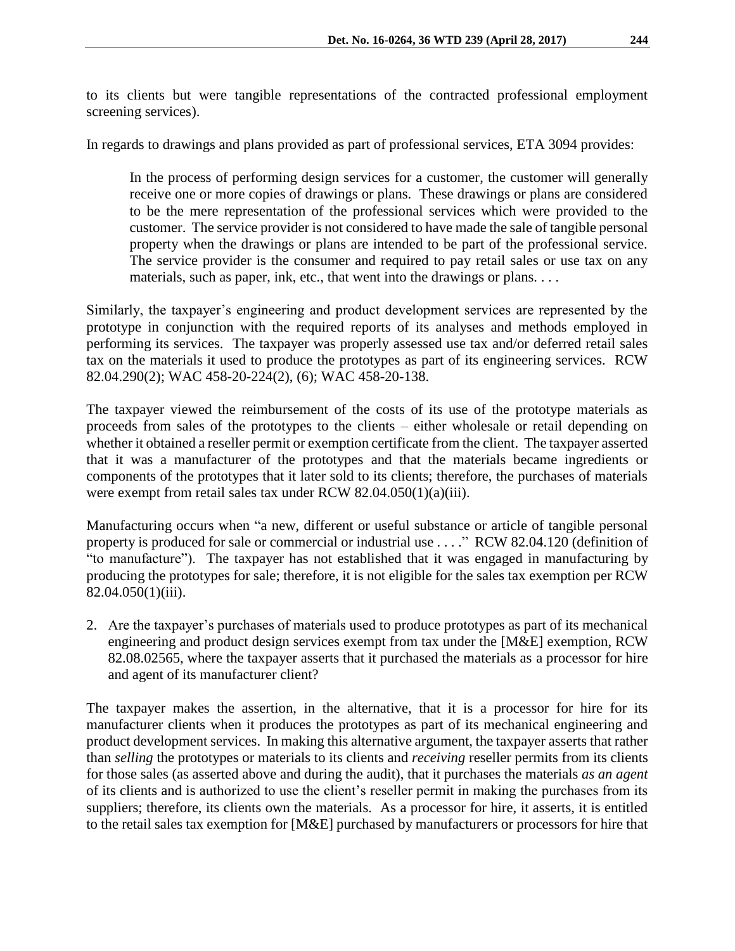to its clients but were tangible representations of the contracted professional employment screening services).

In regards to drawings and plans provided as part of professional services, ETA 3094 provides:

In the process of performing design services for a customer, the customer will generally receive one or more copies of drawings or plans. These drawings or plans are considered to be the mere representation of the professional services which were provided to the customer. The service provider is not considered to have made the sale of tangible personal property when the drawings or plans are intended to be part of the professional service. The service provider is the consumer and required to pay retail sales or use tax on any materials, such as paper, ink, etc., that went into the drawings or plans. . . .

Similarly, the taxpayer's engineering and product development services are represented by the prototype in conjunction with the required reports of its analyses and methods employed in performing its services. The taxpayer was properly assessed use tax and/or deferred retail sales tax on the materials it used to produce the prototypes as part of its engineering services. RCW 82.04.290(2); WAC 458-20-224(2), (6); WAC 458-20-138.

The taxpayer viewed the reimbursement of the costs of its use of the prototype materials as proceeds from sales of the prototypes to the clients – either wholesale or retail depending on whether it obtained a reseller permit or exemption certificate from the client. The taxpayer asserted that it was a manufacturer of the prototypes and that the materials became ingredients or components of the prototypes that it later sold to its clients; therefore, the purchases of materials were exempt from retail sales tax under RCW 82.04.050(1)(a)(iii).

Manufacturing occurs when "a new, different or useful substance or article of tangible personal property is produced for sale or commercial or industrial use . . . ." RCW 82.04.120 (definition of "to manufacture"). The taxpayer has not established that it was engaged in manufacturing by producing the prototypes for sale; therefore, it is not eligible for the sales tax exemption per RCW 82.04.050(1)(iii).

2. Are the taxpayer's purchases of materials used to produce prototypes as part of its mechanical engineering and product design services exempt from tax under the [M&E] exemption, RCW 82.08.02565, where the taxpayer asserts that it purchased the materials as a processor for hire and agent of its manufacturer client?

The taxpayer makes the assertion, in the alternative, that it is a processor for hire for its manufacturer clients when it produces the prototypes as part of its mechanical engineering and product development services. In making this alternative argument, the taxpayer asserts that rather than *selling* the prototypes or materials to its clients and *receiving* reseller permits from its clients for those sales (as asserted above and during the audit), that it purchases the materials *as an agent*  of its clients and is authorized to use the client's reseller permit in making the purchases from its suppliers; therefore, its clients own the materials. As a processor for hire, it asserts, it is entitled to the retail sales tax exemption for [M&E] purchased by manufacturers or processors for hire that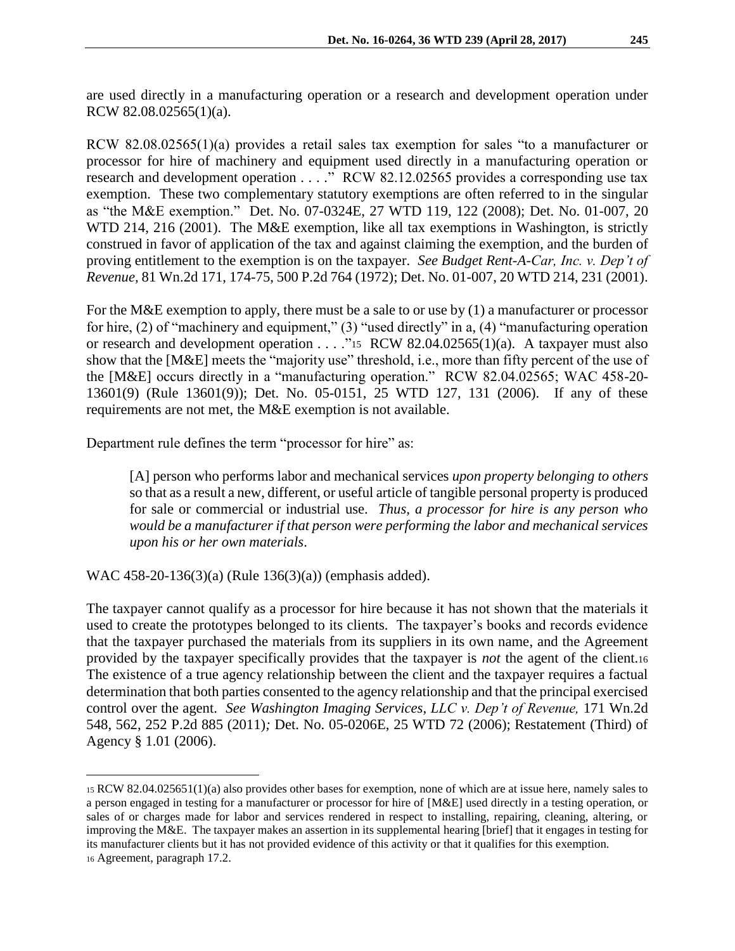are used directly in a manufacturing operation or a research and development operation under RCW 82.08.02565(1)(a).

RCW 82.08.02565(1)(a) provides a retail sales tax exemption for sales "to a manufacturer or processor for hire of machinery and equipment used directly in a manufacturing operation or research and development operation . . . ." RCW 82.12.02565 provides a corresponding use tax exemption. These two complementary statutory exemptions are often referred to in the singular as "the M&E exemption." Det. No. 07-0324E, 27 WTD 119, 122 (2008); Det. No. 01-007, 20 WTD 214, 216 (2001). The M&E exemption, like all tax exemptions in Washington, is strictly construed in favor of application of the tax and against claiming the exemption, and the burden of proving entitlement to the exemption is on the taxpayer. *See Budget Rent-A-Car, Inc. v. Dep't of Revenue,* 81 Wn.2d 171, 174-75, 500 P.2d 764 (1972); Det. No. 01-007, 20 WTD 214, 231 (2001).

For the M&E exemption to apply, there must be a sale to or use by (1) a manufacturer or processor for hire, (2) of "machinery and equipment," (3) "used directly" in a, (4) "manufacturing operation or research and development operation  $\dots$  "15 RCW 82.04.02565(1)(a). A taxpayer must also show that the [M&E] meets the "majority use" threshold, i.e., more than fifty percent of the use of the [M&E] occurs directly in a "manufacturing operation." RCW 82.04.02565; WAC 458-20- 13601(9) (Rule 13601(9)); Det. No. 05-0151, 25 WTD 127, 131 (2006). If any of these requirements are not met, the M&E exemption is not available.

Department rule defines the term "processor for hire" as:

[A] person who performs labor and mechanical services *upon property belonging to others*  so that as a result a new, different, or useful article of tangible personal property is produced for sale or commercial or industrial use. *Thus, a processor for hire is any person who would be a manufacturer if that person were performing the labor and mechanical services upon his or her own materials*.

WAC 458-20-136(3)(a) (Rule 136(3)(a)) (emphasis added).

 $\overline{a}$ 

The taxpayer cannot qualify as a processor for hire because it has not shown that the materials it used to create the prototypes belonged to its clients. The taxpayer's books and records evidence that the taxpayer purchased the materials from its suppliers in its own name, and the Agreement provided by the taxpayer specifically provides that the taxpayer is *not* the agent of the client.<sup>16</sup> The existence of a true agency relationship between the client and the taxpayer requires a factual determination that both parties consented to the agency relationship and that the principal exercised control over the agent. *See Washington Imaging Services, LLC v. Dep't of Revenue,* 171 Wn.2d 548, 562, 252 P.2d 885 (2011)*;* Det. No. 05-0206E, 25 WTD 72 (2006); Restatement (Third) of Agency § 1.01 (2006).

<sup>15</sup> RCW 82.04.025651(1)(a) also provides other bases for exemption, none of which are at issue here, namely sales to a person engaged in testing for a manufacturer or processor for hire of [M&E] used directly in a testing operation, or sales of or charges made for labor and services rendered in respect to installing, repairing, cleaning, altering, or improving the M&E. The taxpayer makes an assertion in its supplemental hearing [brief] that it engages in testing for its manufacturer clients but it has not provided evidence of this activity or that it qualifies for this exemption. <sup>16</sup> Agreement, paragraph 17.2.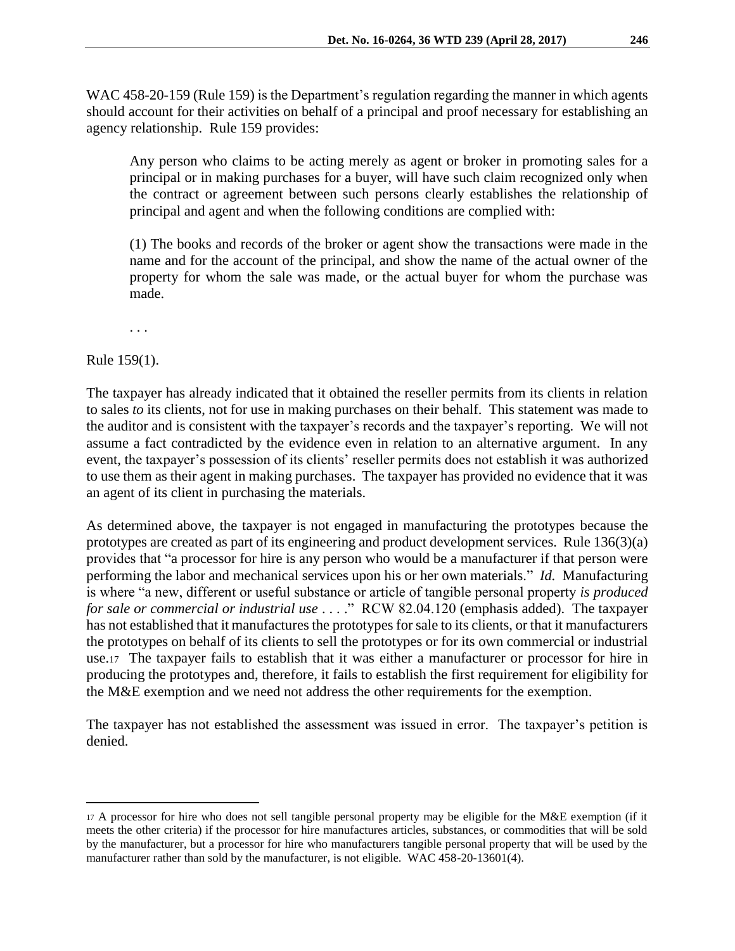WAC 458-20-159 (Rule 159) is the Department's regulation regarding the manner in which agents should account for their activities on behalf of a principal and proof necessary for establishing an agency relationship. Rule 159 provides:

Any person who claims to be acting merely as agent or broker in promoting sales for a principal or in making purchases for a buyer, will have such claim recognized only when the contract or agreement between such persons clearly establishes the relationship of principal and agent and when the following conditions are complied with:

(1) The books and records of the broker or agent show the transactions were made in the name and for the account of the principal, and show the name of the actual owner of the property for whom the sale was made, or the actual buyer for whom the purchase was made.

. . .

Rule 159(1).

 $\overline{a}$ 

The taxpayer has already indicated that it obtained the reseller permits from its clients in relation to sales *to* its clients, not for use in making purchases on their behalf. This statement was made to the auditor and is consistent with the taxpayer's records and the taxpayer's reporting. We will not assume a fact contradicted by the evidence even in relation to an alternative argument. In any event, the taxpayer's possession of its clients' reseller permits does not establish it was authorized to use them as their agent in making purchases. The taxpayer has provided no evidence that it was an agent of its client in purchasing the materials.

As determined above, the taxpayer is not engaged in manufacturing the prototypes because the prototypes are created as part of its engineering and product development services. Rule 136(3)(a) provides that "a processor for hire is any person who would be a manufacturer if that person were performing the labor and mechanical services upon his or her own materials." *Id.* Manufacturing is where "a new, different or useful substance or article of tangible personal property *is produced for sale or commercial or industrial use* . . . ." RCW 82.04.120 (emphasis added). The taxpayer has not established that it manufactures the prototypes for sale to its clients, or that it manufacturers the prototypes on behalf of its clients to sell the prototypes or for its own commercial or industrial use.17 The taxpayer fails to establish that it was either a manufacturer or processor for hire in producing the prototypes and, therefore, it fails to establish the first requirement for eligibility for the M&E exemption and we need not address the other requirements for the exemption.

The taxpayer has not established the assessment was issued in error. The taxpayer's petition is denied.

<sup>17</sup> A processor for hire who does not sell tangible personal property may be eligible for the M&E exemption (if it meets the other criteria) if the processor for hire manufactures articles, substances, or commodities that will be sold by the manufacturer, but a processor for hire who manufacturers tangible personal property that will be used by the manufacturer rather than sold by the manufacturer, is not eligible. WAC 458-20-13601(4).